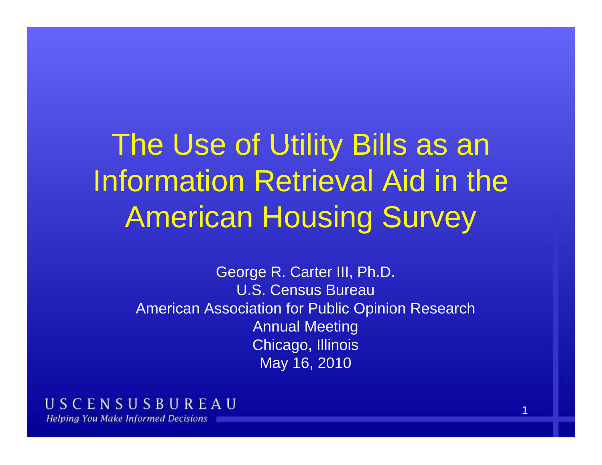# The Use of Utility Bills as an Information Retrieval Aid in the American Housing Survey

George R. Carter III, Ph.D. U.S. Census BureauAmerican Association for Public Opinion Research Annual Meeting Chicago, Illinois May 16, 2010

#### USCENSUSBUREAU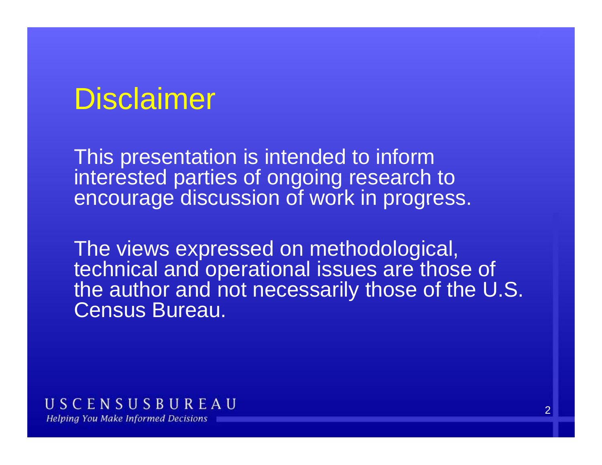### Disclaimer

This presentation is intended to inform interested parties of ongoing research to encourage discussion of work in progress.

The views expressed on methodological, technical and operational issues are those of the author and not necessarily those of the U.S. Census Bureau.

USCENSUSBUREAU **Helping You Make Informed Decisions**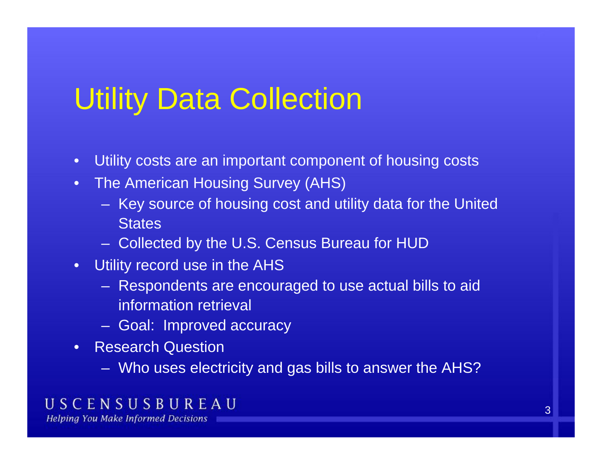## Utility Data Collection

- $\bullet$ Utility costs are an important component of housing costs
- The American Housing Survey (AHS)
	- Key source of housing cost and utility data for the United **States**
	- Collected by the U.S. Census Bureau for HUD
- Utility record use in the AHS
	- Respondents are encouraged to use actual bills to aid information retrieval
	- Goal: Improved accuracy
- Research Question
	- Who uses electricity and gas bills to answer the AHS?

### USCENSUSBUREAU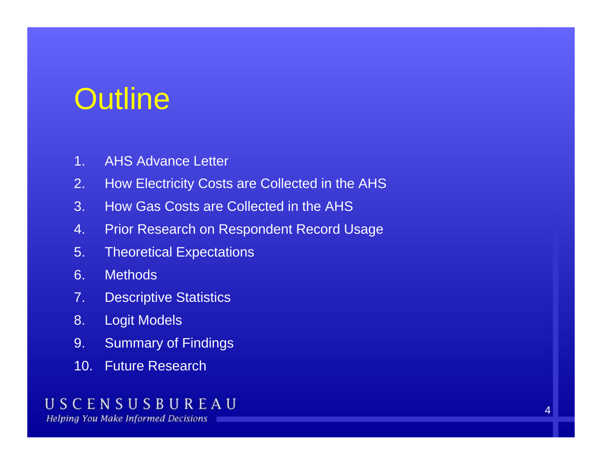## **Outline**

- 1. AHS Advance Letter
- 2. How Electricity Costs are Collected in the AHS
- 3. How Gas Costs are Collected in the AHS
- 4. Prior Research on Respondent Record Usage
- 5. Theoretical Expectations
- 6. Methods
- 7. Descriptive Statistics
- 8. Logit Models
- 9. Summary of Findings
- 10. Future Research

### USCENSUSBUREAU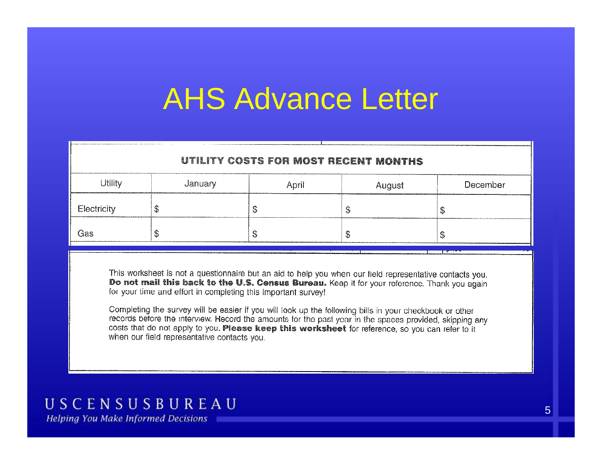## AHS Advance Lette r

| Utility     | January | April | August | December |
|-------------|---------|-------|--------|----------|
| Electricity |         |       |        |          |
| Gas         | ω       | чu    | 317    |          |

This worksheet is not a questionnaire but an aid to help you when our field representative contacts you. Do not mail this back to the U.S. Census Bureau. Keep it for your reference. Thank you again for your time and effort in completing this important survey!

Completing the survey will be easier if you will look up the following bills in your checkbook or other records before the interview. Record the amounts for the past year in the spaces provided, skipping any costs that do not apply to you. Please keep this worksheet for reference, so you can refer to it when our field representative contacts you.

### USCENSUSBUREAU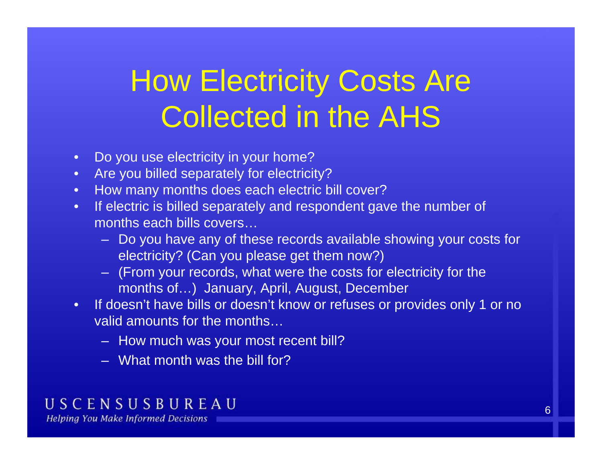# **How Electricity Costs Are** Collected in the AHS

- $\bullet$ Do you use electricity in your home?
- Are you billed separately for electricity?
- How many months does each electric bill cover?
- •• If electric is billed separately and respondent gave the number of months each bills covers
	- Do you have any of these records available showing your costs for electricity? (Can you please get them now?)
	- (From your records, what were the costs for electricity for the months of…) January, April, August, December
- If doesn't have bills or doesn't know or refuses or provides only 1 or no valid amounts for the months…
	- How much was your most recent bill?
	- What month was the bill for?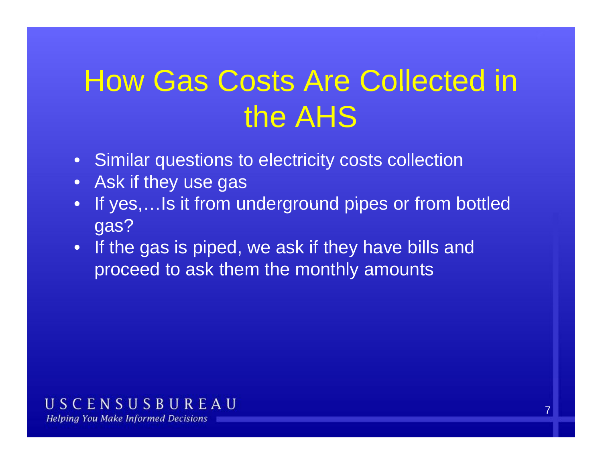## How Gas Costs Are Collected in the AHS

- Similar questions to electricity costs collection
- Ask if they use gas
- •If yes,...Is it from underground pipes or from bottled gas?
- If the gas is piped, we ask if they have bills and proceed to ask them the monthly amounts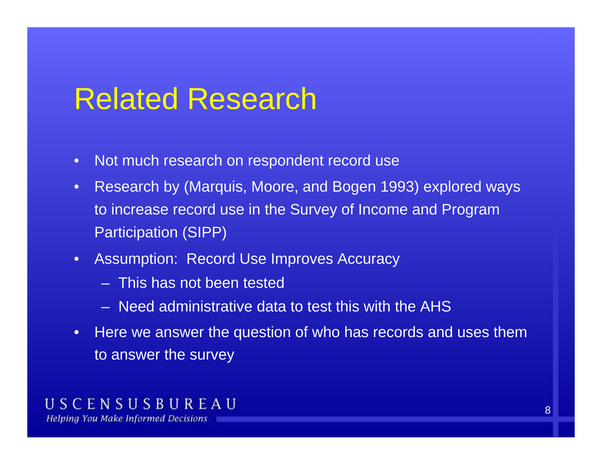### Related Research

- $\bullet$ Not much research on respondent record use
- • Research by (Marquis, Moore, and Bogen 1993) explored ways to increase record use in the Survey of Income and Program Participation (SIPP)
- Assumption: Record Use Improves Accuracy
	- This has not been tested
	- Need administrative data to test this with the AHS
- Here we answer the question of who has records and uses them to answer the survey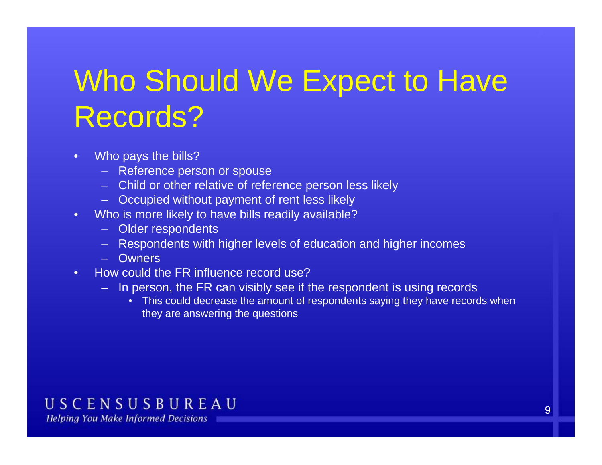# Who Should We Expect to Have Records?

- $\bullet$  Who pays the bills?
	- Reference person or spouse
	- Child or other relative of reference person less likely
	- Occupied without payment of rent less likely less
- Who is more likely to have bills readily available?
	- Older respondents
	- Respondents with higher levels of education and higher incomes
	- Owners
- • How could the FR influence record use?
	- In person, the FR can visibly see if the respondent is using records
		- This could decrease the amount of respondents saying they have records when they are answering the questions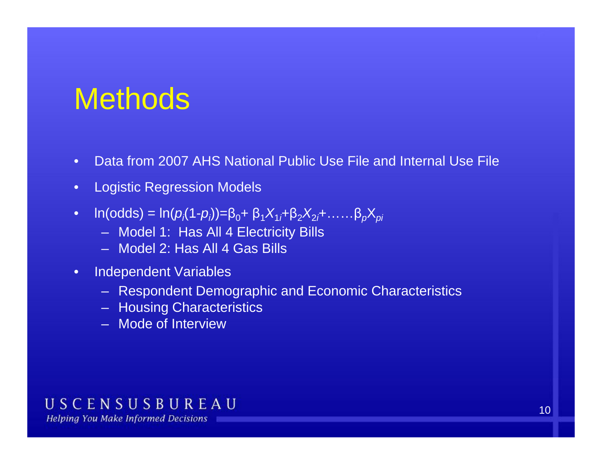### **Methods**

- •Data from 2007 AHS National Public Use File and Internal Use File
- $\bullet$ Logistic Regression Models
- • $ln(odds) = ln(p<sub>i</sub>(1-p<sub>i</sub>)) = β<sub>0</sub> + β<sub>1</sub>X<sub>1</sub> + β<sub>2</sub>X<sub>2</sub> + .... β<sub>p</sub>X<sub>pi</sub>$ 
	- Model 1: Has All 4 Electricity Bills
	- Model 2: Has All 4 Gas Bills
- $\bullet$  Independent Variables
	- Respondent Demographic and Economic Characteristics
	- Housing Characteristics
	- Mode of Interview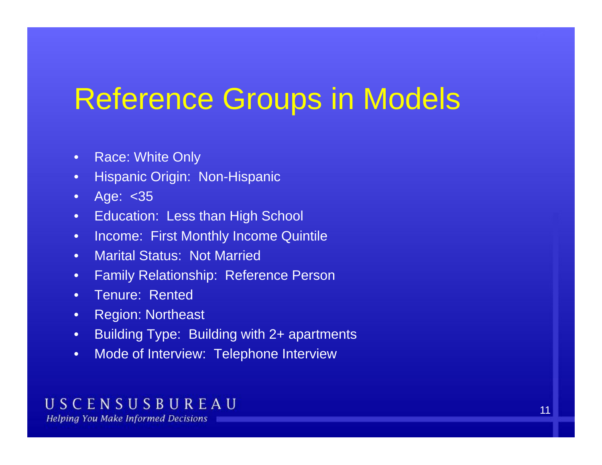## Reference Groups in Models

- $\bullet$ Race: White Only
- $\bullet$ Hispanic Origin: Non-Hispanic
- A ge: <35
- Education: Less than High School
- $\bullet$ **Income: First Monthly Income Quintile**
- •Marital Status: Not Married
- $\bullet$ Family Relationship: Reference Person
- Tenure: Rented
- •Re gion: Northeast
- •Building Type: Building with 2+ apartments
- •Mode of Interview: Telephone Interview

#### USCENSUSBUREAU **Helping You Make Informed Decisions**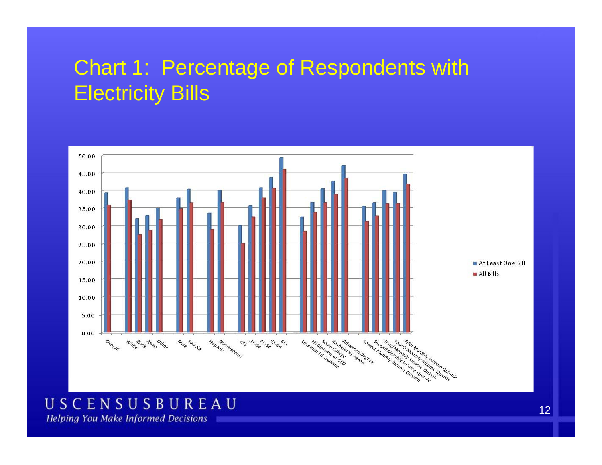### Chart 1: Percentage of Respondents with Electricity Bills



### USCENSUSBUREAU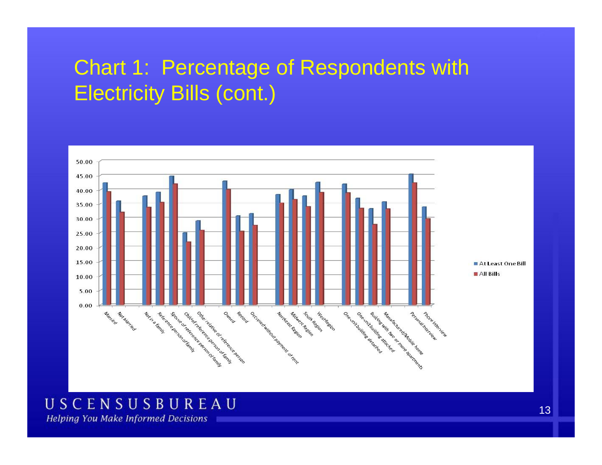### Chart 1: Percentage of Respondents with Electricity Bills (cont.)



### USCENSUSBUREAU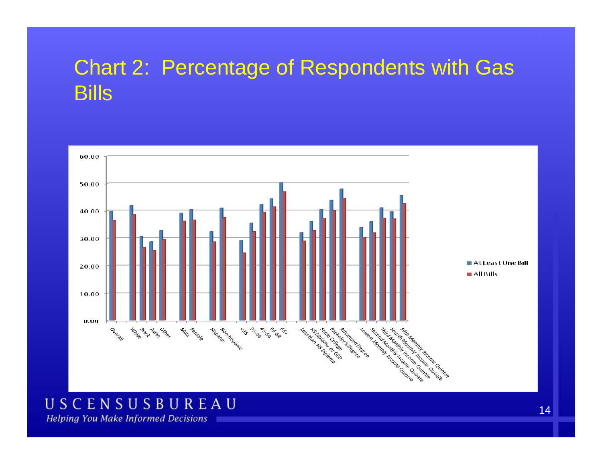### Chart 2: Percentage of Respondents with Gas Bill s



### USCENSUSBUREAU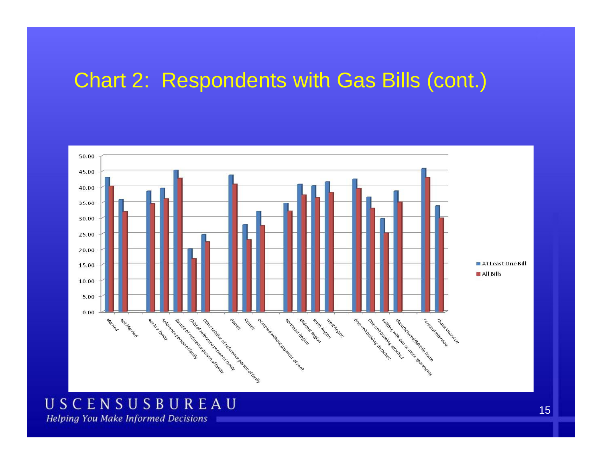### Chart 2: Respondents with Gas Bills (cont.)



### USCENSUSBUREAU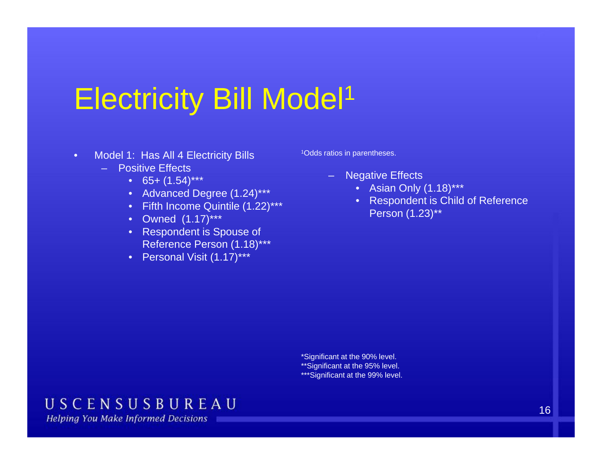## Electricity Bill Model1

- • Model 1: Has All 4 Electricity Bills
	- Positive Effects
		- 65+ (1.54)\*\*\*
		- Advanced Degree (1.24)\*\*\*
		- Fifth Income Quintile (1.22)\*\*\*<br>● Owned. (1.17)\*\*\*
		- Owned  $(1.17)$ \*\*\*
		- Respondent is Spouse of Reference Person (1.18)\*\*\*
		- Personal Visit (1.17)\*\*\*

1Odds ratios in parentheses.

- Negative Effects
	- Asian Only (1.18)\*\*\*
- Figures 2016 Control of Respondent is Child of Reference Person (1.23)\*\*

\*Significant at the 90% level. \*\*Significant at the 95% level. \*\*\*Significant at the 99% level.

#### USCENSUSBUREAU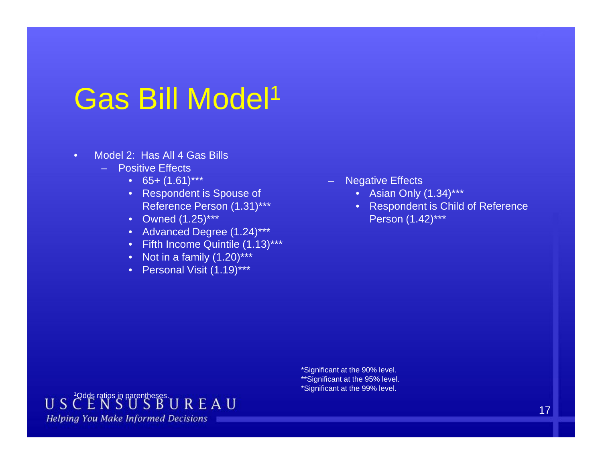## Gas Bill Model1

- • Model 2: Has All 4 Gas Bills
	- Positive Effects
		- 65+ (1.61)\*\*\*
		- Respondent is Spouse of Reference Person (1.31)\*\*\*
		- Owned (1.25)\*\*\*
		- Advanced Degree (1.24)\*\*\*
		- Fifth Income Quintile (1.13)\*\*\*
		- Not in a family  $(1.20)$ \*\*\*
		- Personal Visit (1.19)\*\*\*
- Negative Effects
	- Asian Only (1.34)\*\*\*
- Reference Person (1.31)\*\*\* Respondent is Child of Reference Person (1.42)\*\*\*

\*Significant at the 90% level. \*\*Significant at the 95% level. \*Significant at the 99% level.

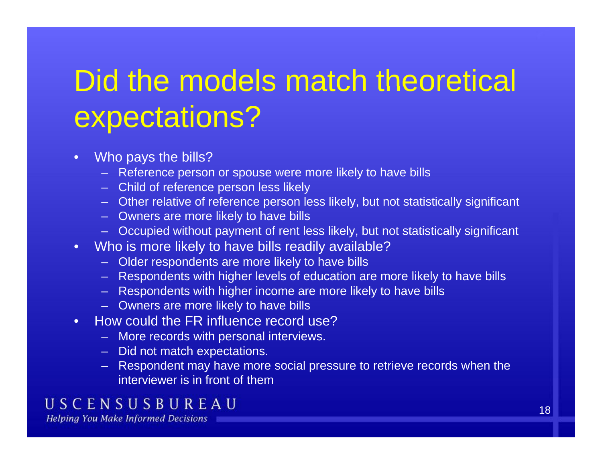# Did the models match theoretical expectations?

- $\bullet$ Who pays the bills?
	- Reference person or spouse were more likely to have bills
	- Child of reference person less likely
	- Other relative of reference person less likely, but not statistically significant
	- Owners are more likely to have bills
	- Occupied without payment of rent less likely, but not statistically significant
- Who is more likely to have bills readily available?
	- Older respondents are more likely to have bills
	- Respondents with higher levels of education are more likely to have bills
	- Respondents with higher income are more likely to have bills
	- Owners are more likely to have bills
- •• How could the FR influence record use?
	- More records with personal interviews.
	- Did not match expectations.
	- Respondent may have more social pressure to retrieve records when the interviewer is in front of them

#### USCENSUSBUREAU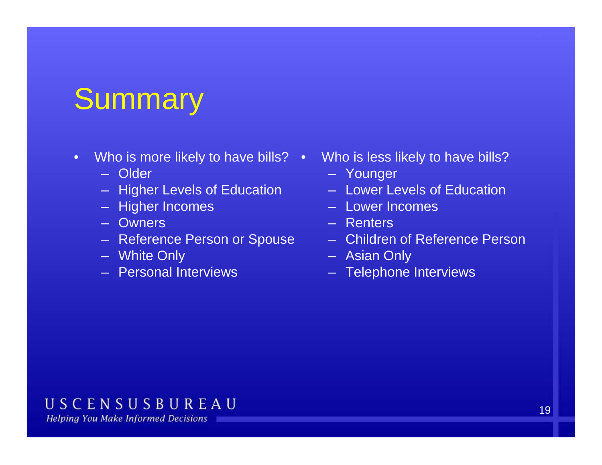## **Summary**

- •Who is more likely to have bills?
	- Older
	- Higher Levels of Education
	- Higher Incomes Lower III Lower I
	- Owners
	- Reference Person or Spouse
	- White Only
	- Personal Interviews
- • Who is less likely to have bills?
	- Younger
	- Lower Levels of Education
	- Lower Incomes
	- Renters
	- Children of Reference Person
	- Asian Only
	- Telephone Interviews

#### USCENSUSBUREAU **Helping You Make Informed Decisions**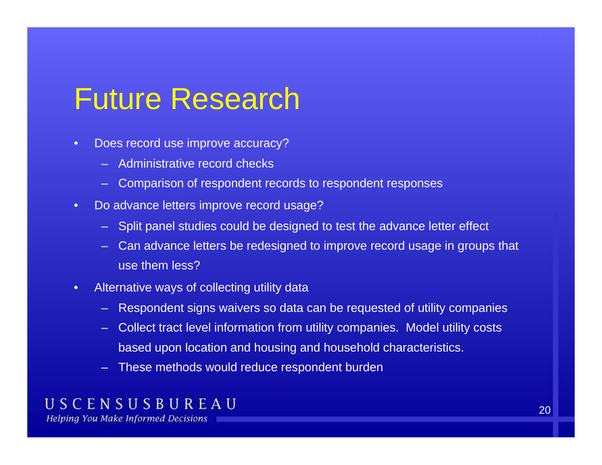### Future Research

- • Does record use improve accuracy?
	- Administrative record checks
	- Comparison of respondent records to respondent responses
- •• Do advance letters improve record usage?
	- Split panel studies could be designed to test the advance letter effect
	- Can advance letters be redesigned to improve record usage in groups that use them less?
- • Alternative ways of collecting utility data
	- Respondent signs waivers so data can be requested of utility companies
	- Collect tract level information from utility companies. Model utility costs based upon location and housing and household characteristics.
	- These methods would reduce respondent burden